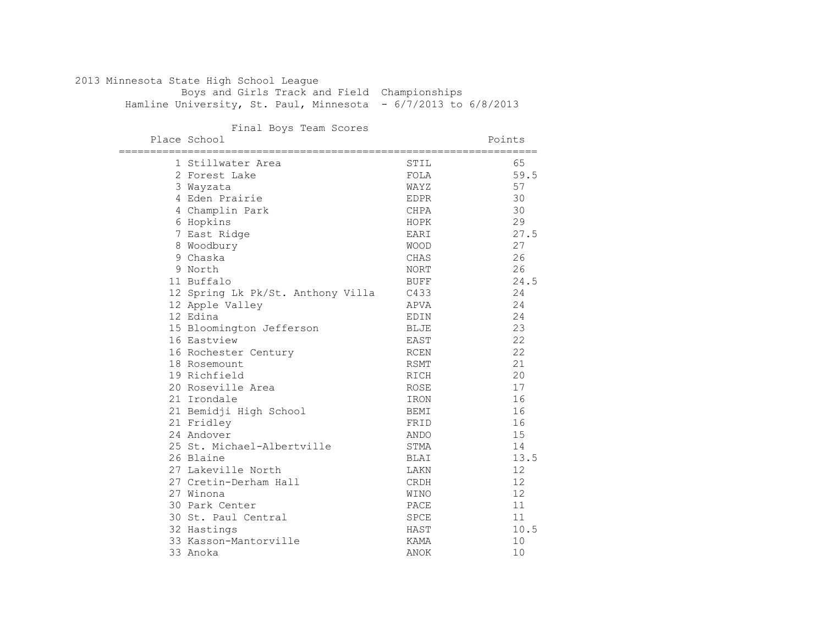#### 2013 Minnesota State High School League Boys and Girls Track and Field Championships

Hamline University, St. Paul, Minnesota - 6/7/2013 to 6/8/2013

#### Final Boys Team Scores

| ----------- | Place School                      |             | Points |
|-------------|-----------------------------------|-------------|--------|
|             | 1 Stillwater Area                 | STIL        | 65     |
|             | 2 Forest Lake                     | FOLA        | 59.5   |
|             | 3 Wayzata                         | WAYZ        | 57     |
|             | 4 Eden Prairie                    | <b>EDPR</b> | 30     |
|             | 4 Champlin Park                   | <b>CHPA</b> | 30     |
|             | 6 Hopkins                         | HOPK        | 29     |
|             | 7 East Ridge                      | EARI        | 27.5   |
|             | 8 Woodbury                        | <b>WOOD</b> | 27     |
|             | 9 Chaska                          | CHAS        | 26     |
|             | 9 North                           | <b>NORT</b> | 26     |
|             | 11 Buffalo                        | <b>BUFF</b> | 24.5   |
|             | 12 Spring Lk Pk/St. Anthony Villa | C433        | 24     |
|             | 12 Apple Valley                   | APVA        | 24     |
|             | 12 Edina                          | EDIN        | 24     |
|             | 15 Bloomington Jefferson          | <b>BLJE</b> | 23     |
|             | 16 Eastview                       | EAST        | 22     |
|             | 16 Rochester Century              | RCEN        | 22     |
|             | 18 Rosemount                      | <b>RSMT</b> | 21     |
|             | 19 Richfield                      | RICH        | 20     |
|             | 20 Roseville Area                 | ROSE        | 17     |
|             | 21 Irondale                       | IRON        | 16     |
|             | 21 Bemidji High School            | <b>BEMI</b> | 16     |
|             | 21 Fridley                        | FRID        | 16     |
|             | 24 Andover                        | ANDO        | 15     |
|             | 25 St. Michael-Albertville        | STMA        | 14     |
|             | 26 Blaine                         | <b>BLAI</b> | 13.5   |
|             | 27 Lakeville North                | LAKN        | 12     |
|             | 27 Cretin-Derham Hall             | <b>CRDH</b> | 12     |
|             | 27 Winona                         | WINO        | 12     |
|             | 30 Park Center                    | PACE        | 11     |
|             | 30 St. Paul Central               | SPCE        | 11     |
|             | 32 Hastings                       | HAST        | 10.5   |
|             | 33 Kasson-Mantorville             | KAMA        | 10     |
|             | 33 Anoka                          | ANOK        | 10     |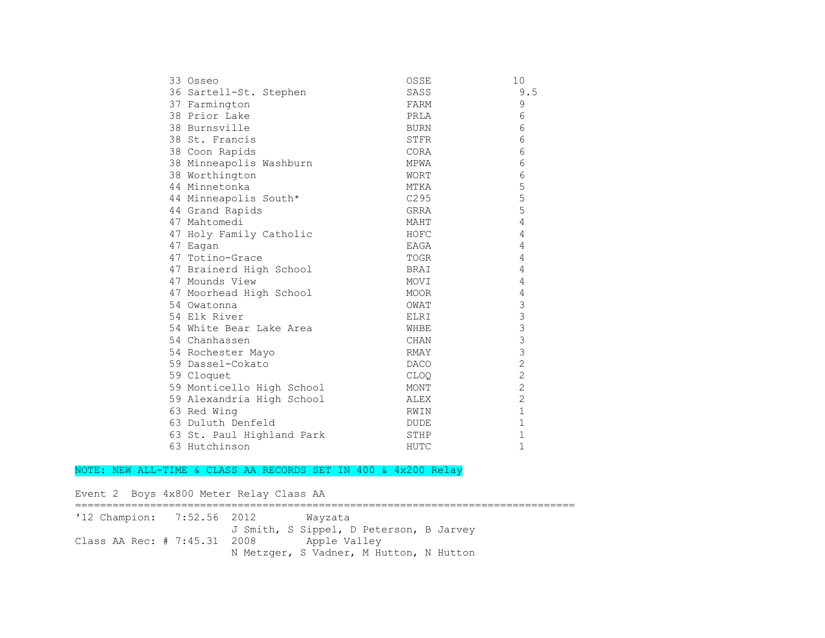| 33 Osseo                  | OSSE             | 10             |
|---------------------------|------------------|----------------|
| 36 Sartell-St. Stephen    | SASS             | 9.5            |
| 37 Farmington             | FARM             | 9              |
| 38 Prior Lake             | PRLA             | 6              |
| 38 Burnsville             | BURN             | 6              |
| 38 St. Francis            | STFR             | 6              |
| 38 Coon Rapids            | CORA             | 6              |
| 38 Minneapolis Washburn   | MPWA             | 6              |
| 38 Worthington            | <b>WORT</b>      | 6              |
| 44 Minnetonka             | MTKA             | 5              |
| 44 Minneapolis South*     | C <sub>295</sub> | 5              |
| 44 Grand Rapids           | GRRA             | 5              |
| 47 Mahtomedi              | MAHT             | 4              |
| 47 Holy Family Catholic   | HOFC             | 4              |
| 47 Eagan                  | EAGA             | 4              |
| 47 Totino-Grace           | TOGR             | 4              |
| 47 Brainerd High School   | BRAI             | 4              |
| 47 Mounds View            | MOVI             | 4              |
| 47 Moorhead High School   | MOOR             | 4              |
| 54 Owatonna               | OWAT             | $\mathfrak{Z}$ |
| 54 Elk River              | ELRI             | $\mathfrak{Z}$ |
| 54 White Bear Lake Area   | WHBE             | $\mathfrak{Z}$ |
| 54 Chanhassen             | CHAN             | $\overline{3}$ |
| 54 Rochester Mayo         | RMAY             | $\mathfrak{Z}$ |
| 59 Dassel-Cokato          | <b>DACO</b>      | $\overline{2}$ |
| 59 Cloquet                | CLOQ             | $\overline{c}$ |
| 59 Monticello High School | MONT             | $\overline{c}$ |
| 59 Alexandria High School | ALEX             | $\overline{2}$ |
| 63 Red Wing               | RWIN             | $\mathbf 1$    |
| 63 Duluth Denfeld         | <b>DUDE</b>      | $\mathbf 1$    |
| 63 St. Paul Highland Park | STHP             | $\mathbf 1$    |
| 63 Hutchinson             | HUTC             | $\mathbf{1}$   |

#### NOTE: NEW ALL-TIME & CLASS AA RECORDS SET IN 400 & 4x200 Relay

Event 2 Boys 4x800 Meter Relay Class AA ================================================================================ '12 Champion: 7:52.56 2012 Wayzata J Smith, S Sippel, D Peterson, B Jarvey Class AA Rec: # 7:45.31 2008 Apple Valley N Metzger, S Vadner, M Hutton, N Hutton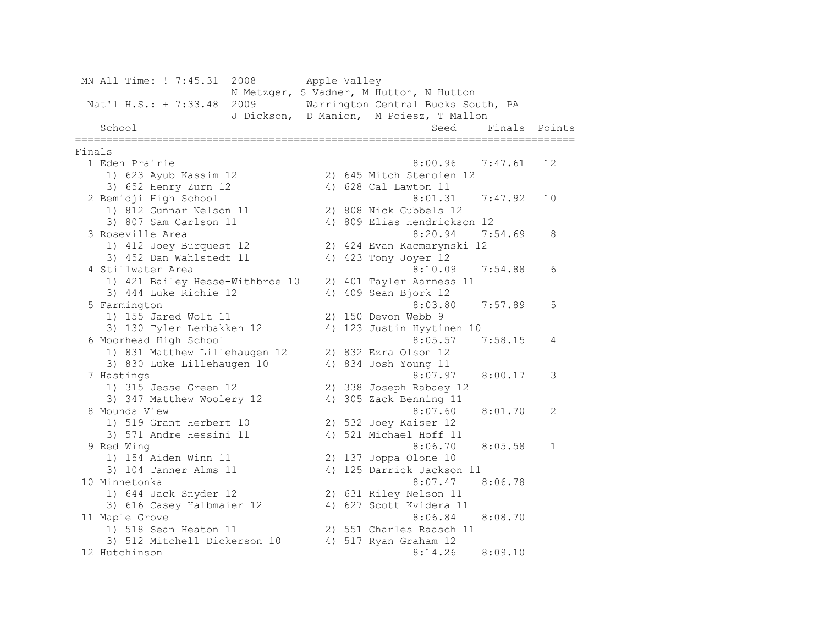MN All Time: ! 7:45.31 2008 Apple Valley N Metzger, S Vadner, M Hutton, N Hutton Nat'l H.S.: + 7:33.48 2009 Warrington Central Bucks South, PA J Dickson, D Manion, M Poiesz, T Mallon School Seed Finals Points ================================================================================ Finals 1 Eden Prairie 8:00.96 7:47.61 12 1) 623 Ayub Kassim 12 2) 645 Mitch Stenoien 12 3) 652 Henry Zurn 12 4) 628 Cal Lawton 11 2 Bemidji High School 8:01.31 7:47.92 10 1) 812 Gunnar Nelson 11 2) 808 Nick Gubbels 12 3) 807 Sam Carlson 11 4) 809 Elias Hendrickson 12 3 Roseville Area 8:20.94 7:54.69 8 1) 412 Joey Burquest 12 2) 424 Evan Kacmarynski 12 3) 452 Dan Wahlstedt 11 4) 423 Tony Joyer 12 4 Stillwater Area 8:10.09 7:54.88 6 1) 421 Bailey Hesse-Withbroe 10 2) 401 Tayler Aarness 11 3) 444 Luke Richie 12 4) 409 Sean Bjork 12 5 Farmington 8:03.80 7:57.89 5 1) 155 Jared Wolt 11 2) 150 Devon Webb 9 3) 130 Tyler Lerbakken 12 4) 123 Justin Hyytinen 10 6 Moorhead High School 8:05.57 7:58.15 4 1) 831 Matthew Lillehaugen 12 2) 832 Ezra Olson 12 3) 830 Luke Lillehaugen 10 4) 834 Josh Young 11 7 Hastings 8:07.97 8:00.17 3 1) 315 Jesse Green 12 2) 338 Joseph Rabaey 12 3) 347 Matthew Woolery 12 4) 305 Zack Benning 11 8 Mounds View 8:07.60 8:01.70 2 1) 519 Grant Herbert 10 2) 532 Joey Kaiser 12 3) 571 Andre Hessini 11 4) 521 Michael Hoff 11 9 Red Wing 8:06.70 8:05.58 1 1) 154 Aiden Winn 11 2) 137 Joppa Olone 10 3) 104 Tanner Alms 11 4) 125 Darrick Jackson 11 10 Minnetonka 8:07.47 8:06.78 1) 644 Jack Snyder 12 2) 631 Riley Nelson 11 3) 616 Casey Halbmaier 12 4) 627 Scott Kvidera 11 11 Maple Grove 8:06.84 8:08.70 1) 518 Sean Heaton 11 2) 551 Charles Raasch 11 3) 512 Mitchell Dickerson 10 4) 517 Ryan Graham 12 12 Hutchinson 8:14.26 8:09.10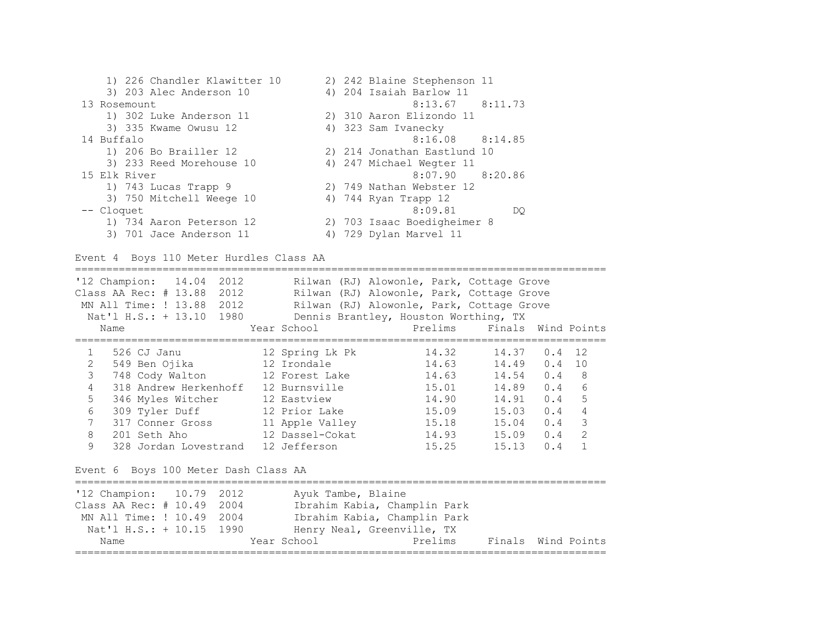1) 226 Chandler Klawitter 10 2) 242 Blaine Stephenson 11 3) 203 Alec Anderson 10 4) 204 Isaiah Barlow 11 13 Rosemount 8:13.67 8:11.73 1) 302 Luke Anderson 11 2) 310 Aaron Elizondo 11 3) 335 Kwame Owusu 12 4) 323 Sam Ivanecky 14 Buffalo 8:16.08 8:14.85 1) 206 Bo Brailler 12 2) 214 Jonathan Eastlund 10 3) 233 Reed Morehouse 10 4) 247 Michael Wegter 11 15 Elk River 8:07.90 8:20.86 1) 743 Lucas Trapp 9 2) 749 Nathan Webster 12 3) 750 Mitchell Weege 10 4) 744 Ryan Trapp 12 -- Cloquet 8:09.81 DQ 1) 734 Aaron Peterson 12 2) 703 Isaac Boedigheimer 8 3) 701 Jace Anderson 11 4) 729 Dylan Marvel 11

```
Event 4 Boys 110 Meter Hurdles Class AA
```
===================================================================================== '12 Champion: 14.04 2012 Rilwan (RJ) Alowonle, Park, Cottage Grove Class AA Rec: # 13.88 2012 Rilwan (RJ) Alowonle, Park, Cottage Grove MN All Time: ! 13.88 2012 Rilwan (RJ) Alowonle, Park, Cottage Grove Nat'l H.S.: + 13.10 1980 Dennis Brantley, Houston Worthing, TX Name Year School Prelims Finals Wind Points ===================================================================================== 1 526 CJ Janu 12 Spring Lk Pk 14.32 14.37 0.4 12 2 549 Ben Ojika 12 Irondale 14.63 14.49 0.4 10 3 748 Cody Walton 12 Forest Lake 14.63 14.54 0.4 8 4 318 Andrew Herkenhoff 12 Burnsville 15.01 5 346 Myles Witcher 12 Eastview 14.90 14.91 0.4 5 6 309 Tyler Duff 12 Prior Lake 15.09 15.03 0.4 4 7 317 Conner Gross 11 Apple Valley 15.18 15.04 0.4 3 8 201 Seth Aho 12 Dassel-Cokat 14.93 15.09 0.4 2 9 328 Jordan Lovestrand 12 Jefferson 15.25 15.13 0.4 1 Event 6 Boys 100 Meter Dash Class AA ===================================================================================== '12 Champion: 10.79 2012 Ayuk Tambe, Blaine Class AA Rec: # 10.49 2004 Ibrahim Kabia, Champlin Park MN All Time: ! 10.49 2004 Ibrahim Kabia, Champlin Park Nat'l H.S.: + 10.15 1990 Henry Neal, Greenville, TX Name Year School Prelims Finals Wind Points =====================================================================================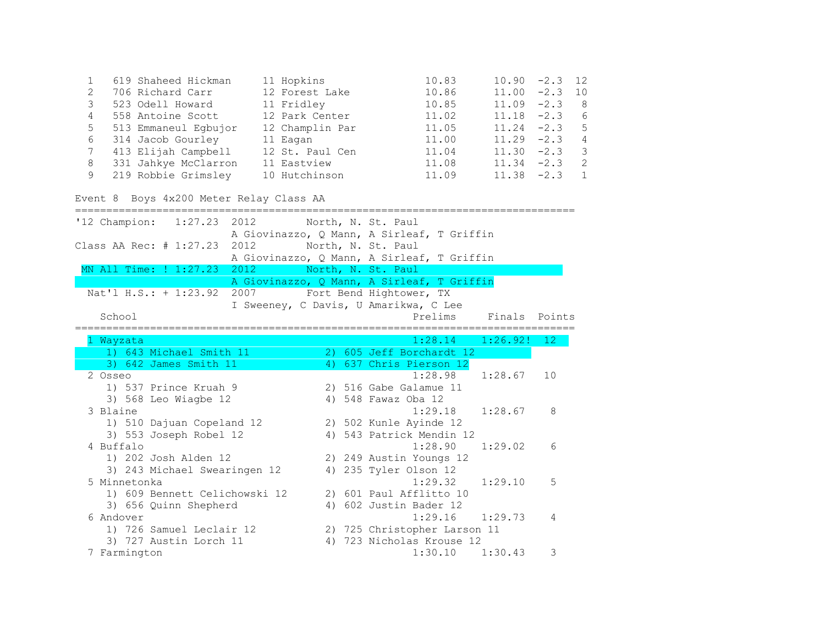|    | 619 Shaheed Hickman  | 11 Hopkins      | 10.83 | $10.90 -2.3$ 12 |           |                |
|----|----------------------|-----------------|-------|-----------------|-----------|----------------|
|    | 706 Richard Carr     | 12 Forest Lake  | 10.86 | 11.00           | $-2.3$ 10 |                |
|    | 523 Odell Howard     | 11 Fridley      | 10.85 | 11.09           | $-2.3$    |                |
| 4  | 558 Antoine Scott    | 12 Park Center  | 11.02 | $11.18 - 2.3$   |           | -6             |
| 5  | 513 Emmaneul Egbujor | 12 Champlin Par | 11.05 | $11.24 -2.3$    |           | - 5            |
| 6  | 314 Jacob Gourley    | 11 Eagan        | 11.00 | $11.29 -2.3$    |           | $\overline{4}$ |
|    | 413 Elijah Campbell  | 12 St. Paul Cen | 11.04 | $11.30 -2.3$    |           |                |
| -8 | 331 Jahkye McClarron | 11 Eastview     | 11.08 | $11.34 -2.3$    |           |                |
|    | 219 Robbie Grimsley  | 10 Hutchinson   | 11.09 | $11.38 - 2.3$   |           |                |

```
Event 8 Boys 4x200 Meter Relay Class AA
```

| '12 Champion: 1:27.23                              | 2012 North, N. St. Paul |  |                                                           |               |    |
|----------------------------------------------------|-------------------------|--|-----------------------------------------------------------|---------------|----|
|                                                    |                         |  | A Giovinazzo, Q Mann, A Sirleaf, T Griffin                |               |    |
| Class AA Rec: # 1:27.23                            | 2012                    |  | North, N. St. Paul                                        |               |    |
|                                                    |                         |  | A Giovinazzo, Q Mann, A Sirleaf, T Griffin                |               |    |
| MN All Time: ! 1:27.23                             | 2012                    |  | North, N. St. Paul                                        |               |    |
|                                                    |                         |  | A Giovinazzo, Q Mann, A Sirleaf, T Griffin                |               |    |
| Nat'l H.S.: + 1:23.92                              |                         |  | 2007 Fort Bend Hightower, TX                              |               |    |
|                                                    |                         |  | I Sweeney, C Davis, U Amarikwa, C Lee                     |               |    |
| School                                             |                         |  | Prelims                                                   | Finals Points |    |
|                                                    |                         |  |                                                           |               |    |
| 1 Wayzata                                          |                         |  | 1:28.14                                                   | 1:26.92!      | 12 |
| 1) 643 Michael Smith 11                            |                         |  | 2) 605 Jeff Borchardt 12                                  |               |    |
| 3) 642 James Smith 11                              |                         |  | 4) 637 Chris Pierson 12                                   |               |    |
| 2 Osseo                                            |                         |  | 1:28.98                                                   | 1:28.67       | 10 |
| 1) 537 Prince Kruah 9                              |                         |  | 2) 516 Gabe Galamue 11                                    |               |    |
| 3) 568 Leo Wiagbe 12                               |                         |  | 4) 548 Fawaz Oba 12                                       |               |    |
| 3 Blaine                                           |                         |  | 1:29.18                                                   | 1:28.67       | 8  |
| 1) 510 Dajuan Copeland 12                          |                         |  | 2) 502 Kunle Ayinde 12                                    |               |    |
| 3) 553 Joseph Robel 12                             |                         |  | 4) 543 Patrick Mendin 12                                  |               |    |
| 4 Buffalo                                          |                         |  | 1:28.90                                                   | 1:29.02       | 6  |
| 1) 202 Josh Alden 12                               |                         |  | 2) 249 Austin Youngs 12                                   |               |    |
| 3) 243 Michael Swearingen 12                       |                         |  | 4) 235 Tyler Olson 12                                     |               |    |
| 5 Minnetonka                                       |                         |  | 1:29.32                                                   | 1:29.10       | 5  |
| 1) 609 Bennett Celichowski 12                      |                         |  | 2) 601 Paul Afflitto 10                                   |               |    |
| 3) 656 Quinn Shepherd<br>6 Andover                 |                         |  | 4) 602 Justin Bader 12<br>$1:29.16$ $1:29.73$             |               | 4  |
|                                                    |                         |  |                                                           |               |    |
| 1) 726 Samuel Leclair 12<br>3) 727 Austin Lorch 11 |                         |  | 2) 725 Christopher Larson 11<br>4) 723 Nicholas Krouse 12 |               |    |
| 7 Farmington                                       |                         |  | $1:30.10$ $1:30.43$                                       |               | 3  |
|                                                    |                         |  |                                                           |               |    |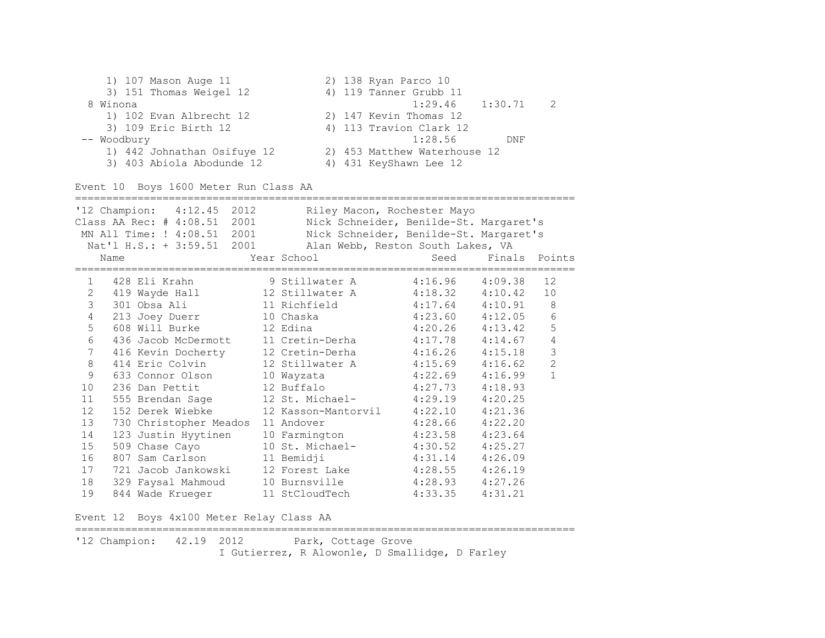1) 107 Mason Auge 11 2) 138 Ryan Parco 10 3) 151 Thomas Weigel 12 4) 119 Tanner Grubb 11 8 Winona 1:29.46 1:30.71 2 1) 102 Evan Albrecht 12 2) 147 Kevin Thomas 12 3) 109 Eric Birth 12 4) 113 Travion Clark 12 -- Woodbury 1:28.56 DNF 1) 442 Johnathan Osifuye 12 2) 453 Matthew Waterhouse 12 3) 403 Abiola Abodunde 12 4) 431 KeyShawn Lee 12

Event 10 Boys 1600 Meter Run Class AA

|                   |      | '12 Champion: 4:12.45 2012<br>Class AA Rec: # 4:08.51 2001<br>MN All Time: ! 4:08.51 2001<br>Nat'l H.S.: + 3:59.51 2001 | Riley Macon, Rochester Mayo<br>Nick Schneider, Benilde-St. Margaret's<br>Nick Schneider, Benilde-St. Margaret's<br>Alan Webb, Reston South Lakes, VA |                     |               |                 |
|-------------------|------|-------------------------------------------------------------------------------------------------------------------------|------------------------------------------------------------------------------------------------------------------------------------------------------|---------------------|---------------|-----------------|
|                   | Name |                                                                                                                         | Year School                                                                                                                                          | Seed                | Finals Points |                 |
| $\mathbf{1}$<br>2 |      | 428 Eli Krahn<br>419 Wayde Hall                                                                                         | 9 Stillwater A 4:16.96<br>12 Stillwater A                                                                                                            | $4:18.32$ $4:10.42$ | 4:09.38       | 12<br>10        |
| 3                 |      | 301 Obsa Ali                                                                                                            | 11 Richfield 11                                                                                                                                      | $4:17.64$ $4:10.91$ |               | 8               |
| $\overline{4}$    |      | 213 Joey Duerr                                                                                                          | 10 Chaska                                                                                                                                            | $4:23.60$ $4:12.05$ |               | $6\phantom{1}6$ |
| 5                 |      | 608 Will Burke                                                                                                          | 12 Edina                                                                                                                                             | $4:20.26$ $4:13.42$ |               | 5               |
| 6                 |      | 436 Jacob McDermott                                                                                                     | 11 Cretin-Derha                                                                                                                                      | $4:17.78$ $4:14.67$ |               | $\overline{4}$  |
| $7\overline{ }$   |      | 416 Kevin Docherty                                                                                                      | 12 Cretin-Derha 4:16.26 4:15.18                                                                                                                      |                     |               | 3               |
| $\,8\,$           |      | 414 Eric Colvin                                                                                                         | 12 Stillwater A                                                                                                                                      | $4:15.69$ $4:16.62$ |               | $\overline{c}$  |
| 9                 |      | 633 Connor Olson                                                                                                        | 10 Wayzata                                                                                                                                           | 4:22.69             | 4:16.99       | $\mathbf{1}$    |
| 10                |      | 236 Dan Pettit                                                                                                          | 12 Buffalo                                                                                                                                           | 4:27.73             | 4:18.93       |                 |
| 11                |      | 555 Brendan Sage                                                                                                        | 12 St. Michael-                                                                                                                                      | 4:29.19             | 4:20.25       |                 |
| 12                |      | 152 Derek Wiebke                                                                                                        | 12 Kasson-Mantorvil                                                                                                                                  | 4:22.10             | 4:21.36       |                 |
| 13                |      | 730 Christopher Meados                                                                                                  | 11 Andover                                                                                                                                           | 4:28.66             | 4:22.20       |                 |
| 14                |      | 123 Justin Hyytinen                                                                                                     | 10 Farmington                                                                                                                                        | $4:23.58$ $4:23.64$ |               |                 |
| 15                |      | 509 Chase Cayo                                                                                                          | 10 St. Michael-                                                                                                                                      | $4:30.52$ $4:25.27$ |               |                 |
| 16                |      | 807 Sam Carlson                                                                                                         | 11 Bemidji                                                                                                                                           | 4:31.14             | 4:26.09       |                 |
| 17                |      | 721 Jacob Jankowski                                                                                                     | 12 Forest Lake                                                                                                                                       | $4:28.55$ $4:26.19$ |               |                 |
| 18                |      | 329 Faysal Mahmoud                                                                                                      | 10 Burnsville                                                                                                                                        | 4:28.93             | 4:27.26       |                 |
| 19                |      | 844 Wade Krueger                                                                                                        | 11 StCloudTech                                                                                                                                       | 4:33.35             | 4:31.21       |                 |

Event 12 Boys 4x100 Meter Relay Class AA

'12 Champion: 42.19 2012 Park, Cottage Grove I Gutierrez, R Alowonle, D Smallidge, D Farley

================================================================================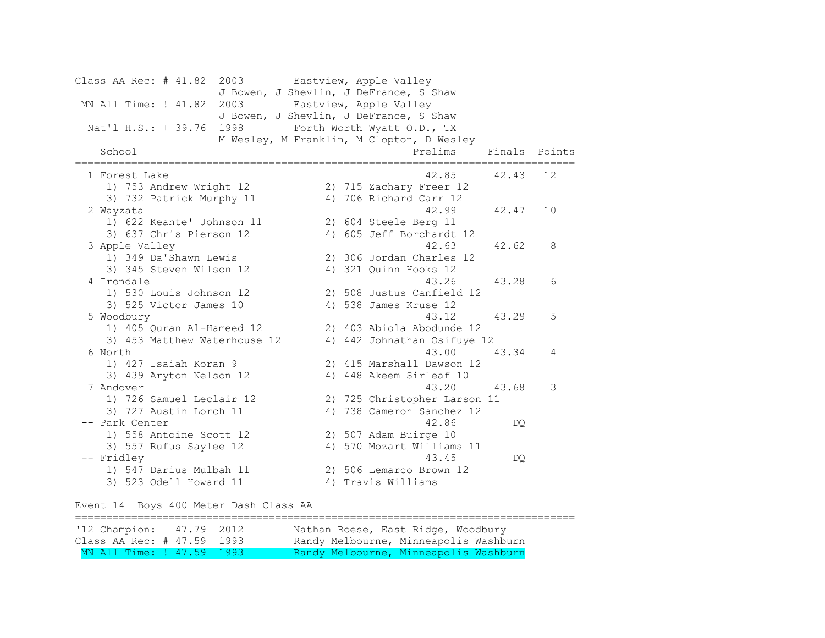Class AA Rec: # 41.82 2003 Eastview, Apple Valley J Bowen, J Shevlin, J DeFrance, S Shaw MN All Time: ! 41.82 2003 Eastview, Apple Valley J Bowen, J Shevlin, J DeFrance, S Shaw Nat'l H.S.: + 39.76 1998 Forth Worth Wyatt O.D., TX M Wesley, M Franklin, M Clopton, D Wesley School Prelims Finals Points ================================================================================ 1 Forest Lake 42.85 42.43 12 1) 753 Andrew Wright 12 2) 715 Zachary Freer 12 3) 732 Patrick Murphy 11 4) 706 Richard Carr 12 2 Wayzata 42.99 42.47 10 1) 622 Keante' Johnson 11 2) 604 Steele Berg 11 3) 637 Chris Pierson 12 4) 605 Jeff Borchardt 12 3 Apple Valley 42.63 42.62 8 1) 349 Da'Shawn Lewis 2) 306 Jordan Charles 12 3) 345 Steven Wilson 12 4) 321 Quinn Hooks 12 4 Irondale 43.26 43.28 6 1) 530 Louis Johnson 12 2) 508 Justus Canfield 12 3) 525 Victor James 10 4) 538 James Kruse 12 5 Woodbury 43.12 43.29 5 1) 405 Quran Al-Hameed 12 2) 403 Abiola Abodunde 12 3) 453 Matthew Waterhouse 12 4) 442 Johnathan Osifuye 12 6 North 43.00 43.34 4 1) 427 Isaiah Koran 9 2) 415 Marshall Dawson 12 3) 439 Aryton Nelson 12 4) 448 Akeem Sirleaf 10 7 Andover 43.20 43.68 3 1) 726 Samuel Leclair 12 2) 725 Christopher Larson 11 3) 727 Austin Lorch 11 4) 738 Cameron Sanchez 12 -- Park Center 42.86 DQ 1) 558 Antoine Scott 12 2) 507 Adam Buirge 10 3) 557 Rufus Saylee 12 4) 570 Mozart Williams 11 -- Fridley 43.45 DQ 1) 547 Darius Mulbah 11 2) 506 Lemarco Brown 12 3) 523 Odell Howard 11 4) Travis Williams

Event 14 Boys 400 Meter Dash Class AA

| '12 Champion: 47.79 2012    |  | Nathan Roese, East Ridge, Woodbury    |
|-----------------------------|--|---------------------------------------|
| Class AA Rec: # 47.59 1993  |  | Randy Melbourne, Minneapolis Washburn |
| MN All Time: ! 47.59 1993 \ |  | Randy Melbourne, Minneapolis Washburn |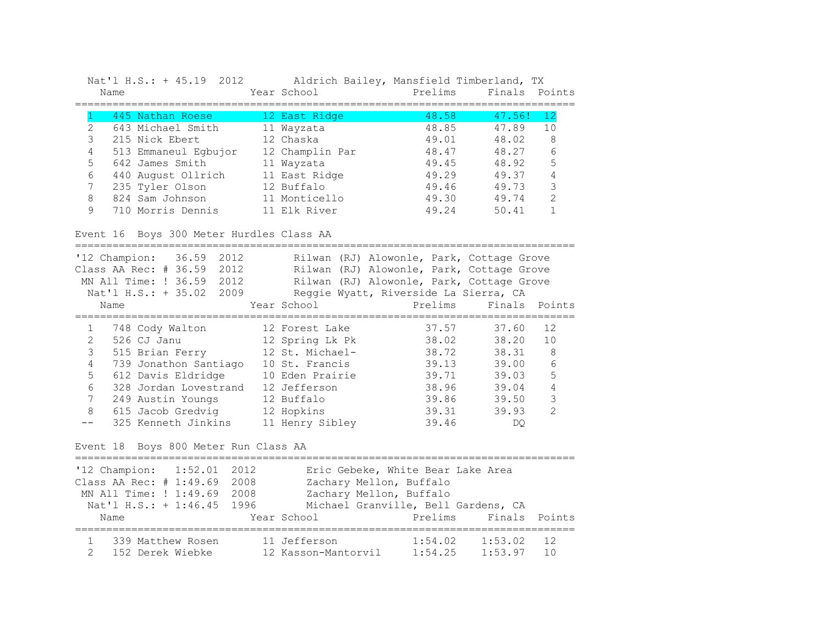| Nat'l H.S.: + 45.19 2012 |             | Aldrich Bailey, Mansfield Timberland, TX |               |
|--------------------------|-------------|------------------------------------------|---------------|
| Name                     | Year School | Prelims                                  | Finals Points |

|   | 445 Nathan Roese     | 12 East Ridge   | 48.58 | 47.56! | 12                                                                                                                                                                                                                                                                                                                                                                                                                                                  |
|---|----------------------|-----------------|-------|--------|-----------------------------------------------------------------------------------------------------------------------------------------------------------------------------------------------------------------------------------------------------------------------------------------------------------------------------------------------------------------------------------------------------------------------------------------------------|
|   | 643 Michael Smith    | 11 Wayzata      | 48.85 | 47.89  | 10                                                                                                                                                                                                                                                                                                                                                                                                                                                  |
|   | 215 Nick Ebert       | 12 Chaska       | 49.01 | 48.02  | 8                                                                                                                                                                                                                                                                                                                                                                                                                                                   |
| 4 | 513 Emmaneul Egbujor | 12 Champlin Par | 48.47 | 48.27  | 6                                                                                                                                                                                                                                                                                                                                                                                                                                                   |
| 5 | 642 James Smith      | 11 Wayzata      | 49.45 | 48.92  | 5                                                                                                                                                                                                                                                                                                                                                                                                                                                   |
| 6 | 440 August Ollrich   | 11 East Ridge   | 49.29 | 49.37  | 4                                                                                                                                                                                                                                                                                                                                                                                                                                                   |
|   | 235 Tyler Olson      | 12 Buffalo      | 49.46 | 49.73  | 3                                                                                                                                                                                                                                                                                                                                                                                                                                                   |
|   | 824 Sam Johnson      | 11 Monticello   | 49.30 | 49.74  | $\mathfrak{D}_{\mathfrak{D}}^{\mathfrak{D}}(\mathfrak{D})=\mathfrak{D}_{\mathfrak{D}}^{\mathfrak{D}}(\mathfrak{D})=\mathfrak{D}_{\mathfrak{D}}^{\mathfrak{D}}(\mathfrak{D})=\mathfrak{D}_{\mathfrak{D}}^{\mathfrak{D}}(\mathfrak{D})=\mathfrak{D}_{\mathfrak{D}}^{\mathfrak{D}}(\mathfrak{D})=\mathfrak{D}_{\mathfrak{D}}^{\mathfrak{D}}(\mathfrak{D})=\mathfrak{D}_{\mathfrak{D}}^{\mathfrak{D}}(\mathfrak{D})=\mathfrak{D}_{\mathfrak{D}}^{\math$ |
|   | 710 Morris Dennis    | 11 Elk River    | 49.24 | 50.41  |                                                                                                                                                                                                                                                                                                                                                                                                                                                     |

## Event 16 Boys 300 Meter Hurdles Class AA

|   | $'12$ Champion: $36.59$<br>2012<br>Class AA Rec: $\#$ 36.59<br>2012 |                 | Rilwan (RJ) Alowonle, Park, Cottage Grove<br>Rilwan (RJ) Alowonle, Park, Cottage Grove |               |                |
|---|---------------------------------------------------------------------|-----------------|----------------------------------------------------------------------------------------|---------------|----------------|
|   | MN All Time: ! 36.59<br>2012                                        |                 | Rilwan (RJ) Alowonle, Park, Cottage Grove                                              |               |                |
|   | Nat'l H.S.: + 35.02<br>2009                                         |                 | Reggie Wyatt, Riverside La Sierra, CA                                                  |               |                |
|   | Name                                                                | Year School     | Prelims                                                                                | Finals Points |                |
|   |                                                                     |                 |                                                                                        |               |                |
|   | 748 Cody Walton                                                     | 12 Forest Lake  | 37.57                                                                                  | 37.60         | 12             |
|   | 526 CJ Janu                                                         | 12 Spring Lk Pk | 38.02                                                                                  | 38.20         | 10             |
| 3 | 515 Brian Ferry                                                     | 12 St. Michael- | 38.72                                                                                  | 38.31         | 8              |
| 4 | 739 Jonathon Santiago                                               | 10 St. Francis  | 39.13                                                                                  | 39.00         | 6              |
| 5 | 612 Davis Eldridge                                                  | 10 Eden Prairie | 39.71                                                                                  | 39.03         | 5              |
| 6 | 328 Jordan Lovestrand                                               | 12 Jefferson    | 38.96                                                                                  | 39.04         | 4              |
| 7 | 249 Austin Youngs                                                   | 12 Buffalo      | 39.86                                                                                  | 39.50         | 3              |
| 8 | 615 Jacob Gredvig                                                   | 12 Hopkins      | 39.31                                                                                  | 39.93         | $\mathfrak{D}$ |
|   | 325 Kenneth Jinkins                                                 | 11 Henry Sibley | 39.46                                                                                  | DO            |                |

## Event 18 Boys 800 Meter Run Class AA

| '12 Champion: 1:52.01 2012        |                         | Eric Gebeke, White Bear Lake Area   |     |
|-----------------------------------|-------------------------|-------------------------------------|-----|
| Class AA Rec: # 1:49.69 2008      | Zachary Mellon, Buffalo |                                     |     |
| MN All Time: ! 1:49.69 2008       | Zachary Mellon, Buffalo |                                     |     |
| Nat'l H.S.: + 1:46.45 1996        |                         | Michael Granville, Bell Gardens, CA |     |
| Name                              | Year School             | Prelims Finals Points               |     |
| 339 Matthew Rosen                 | 11 Jefferson            | 1:53.02<br>1:54.02                  | 12  |
| 152 Derek Wiebke<br>$\mathcal{P}$ | 12 Kasson-Mantorvil     | 1:53.97<br>1:54.25                  | 1 N |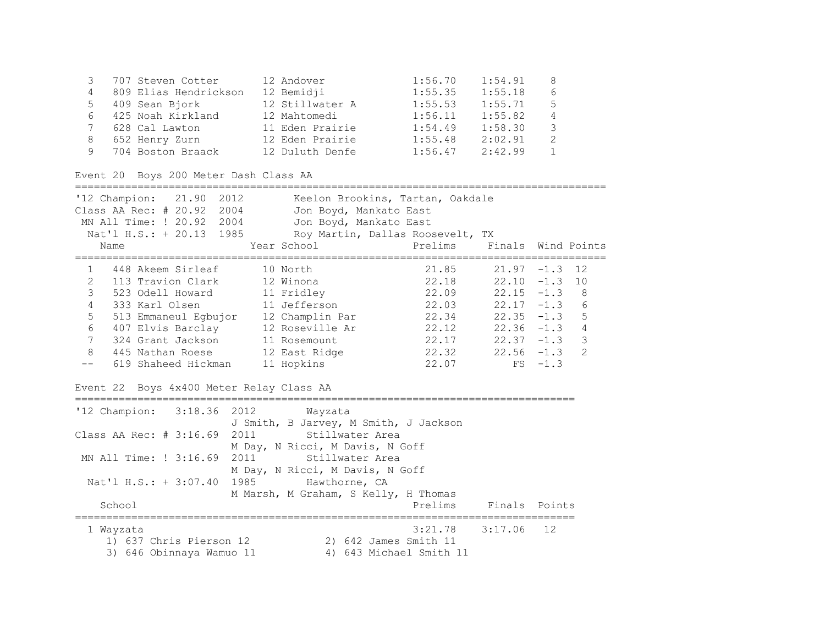| 3<br>707 Steven Cotter                                                                                           | 12 Andover   |                                                                                                                          | 1:56.70                            | 1:54.91            | 8              |                |
|------------------------------------------------------------------------------------------------------------------|--------------|--------------------------------------------------------------------------------------------------------------------------|------------------------------------|--------------------|----------------|----------------|
| 809 Elias Hendrickson<br>4                                                                                       | 12 Bemidji   |                                                                                                                          | 1:55.35                            | 1:55.18            | 6              |                |
| 5<br>409 Sean Bjork                                                                                              |              | 12 Stillwater A                                                                                                          | 1:55.53                            | 1:55.71            | 5              |                |
| 6<br>425 Noah Kirkland                                                                                           | 12 Mahtomedi |                                                                                                                          | 1:56.11                            | 1:55.82            | $\sqrt{4}$     |                |
| 7<br>628 Cal Lawton                                                                                              |              | 11 Eden Prairie                                                                                                          | $1:54.49$<br>$1:55.48$             | 1:58.30            | 3              |                |
| 8<br>652 Henry Zurn                                                                                              |              | 12 Eden Prairie                                                                                                          |                                    | 2:02.91            | $\overline{2}$ |                |
| 704 Boston Braack 12 Duluth Denfe<br>9                                                                           |              |                                                                                                                          | 1:56.47                            | 2:42.99            | $\mathbf{1}$   |                |
| Event 20 Boys 200 Meter Dash Class AA                                                                            |              |                                                                                                                          |                                    |                    |                |                |
| '12 Champion: 21.90 2012<br>Class AA Rec: # 20.92 2004<br>MN All Time: ! 20.92 2004<br>Nat'l H.S.: + 20.13 1985  |              | Keelon Brookins, Tartan, Oakdale<br>Jon Boyd, Mankato East<br>Jon Boyd, Mankato East<br>Roy Martin, Dallas Roosevelt, TX |                                    |                    |                |                |
| Name                                                                                                             | Year School  |                                                                                                                          | Prelims                            | Finals Wind Points |                |                |
|                                                                                                                  |              |                                                                                                                          |                                    |                    |                |                |
| 448 Akeem Sirleaf<br>$\mathbf{1}$                                                                                | 10 North     |                                                                                                                          | 21.85                              | $21.97 - 1.3$      |                | 12             |
| $\overline{2}$<br>113 Travion Clark                                                                              | 12 Winona    |                                                                                                                          | 22.18                              | $22.10 - 1.3$      |                | 10             |
| 3<br>523 Odell Howard                                                                                            | 11 Fridley   |                                                                                                                          | 22.09                              | $22.15 - 1.3$      |                | 8              |
| 4<br>333 Karl Olsen                                                                                              | 11 Jefferson |                                                                                                                          | 22.03                              | $22.17 - 1.3$      |                | 6              |
| 5<br>513 Emmaneul Egbujor 12 Champlin Par<br>407 Elvis Barclay 12 Roseville Ar<br>324 Grant Jackson 11 Rosemount |              |                                                                                                                          | 22.34<br>22.12                     | $22.35 - 1.3$      |                | 5              |
| 6                                                                                                                |              |                                                                                                                          |                                    | $22.36 -1.3$       |                | $\overline{4}$ |
| 324 Grant Jackson<br>7                                                                                           |              |                                                                                                                          | $22.17$ $22.37 -1.3$               |                    |                | 3              |
| 445 Nathan Roese 12 East Ridge<br>8                                                                              |              |                                                                                                                          | $22.32$ $22.56$ $-1.3$             |                    |                | $\overline{2}$ |
| 619 Shaheed Hickman<br>$- -$                                                                                     | 11 Hopkins   |                                                                                                                          | 22.07                              | FS                 | $-1.3$         |                |
| Event 22 Boys 4x400 Meter Relay Class AA                                                                         |              |                                                                                                                          |                                    |                    |                |                |
| '12 Champion: 3:18.36 2012<br>Class AA Rec: $# 3:16.69$                                                          | 2011         | Wayzata<br>J Smith, B Jarvey, M Smith, J Jackson<br>Stillwater Area<br>M Day, N Ricci, M Davis, N Goff                   |                                    |                    |                |                |
| MN All Time: ! 3:16.69 2011                                                                                      |              | Stillwater Area                                                                                                          |                                    |                    |                |                |
| Nat'l H.S.: + 3:07.40<br>School                                                                                  | 1985         | M Day, N Ricci, M Davis, N Goff<br>Hawthorne, CA<br>M Marsh, M Graham, S Kelly, H Thomas                                 | Prelims                            | Finals Points      |                |                |
| 1 Wayzata<br>1) 637 Chris Pierson 12<br>3) 646 Obinnaya Wamuo 11                                                 |              | 2) 642 James Smith 11                                                                                                    | 3:21.78<br>4) 643 Michael Smith 11 | 3:17.06            | 12             |                |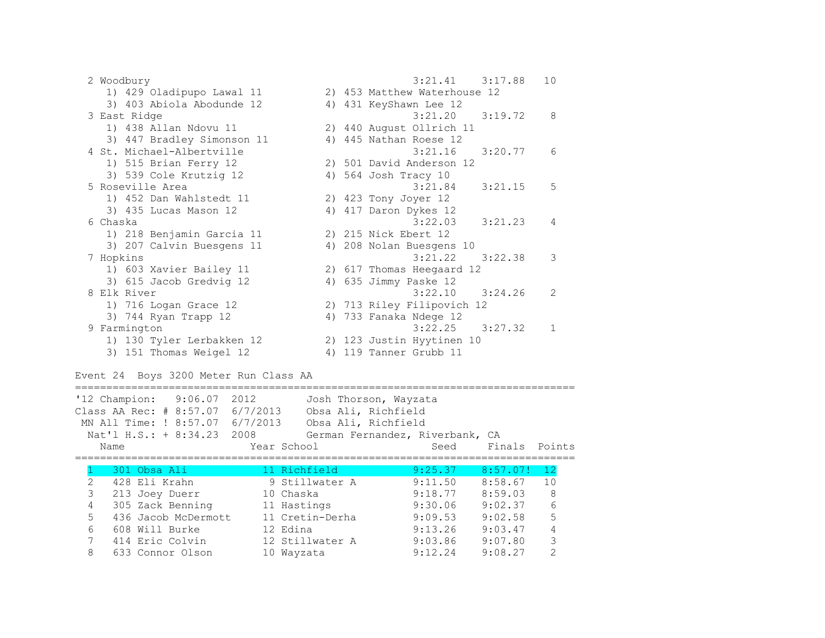2 Woodbury 3:21.41 3:17.88 10 1) 429 Oladipupo Lawal 11 2) 453 Matthew Waterhouse 12 3) 403 Abiola Abodunde 12 4) 431 KeyShawn Lee 12 3 East Ridge 3:21.20 3:19.72 8 1) 438 Allan Ndovu 11 2) 440 August Ollrich 11 3) 447 Bradley Simonson 11 4) 445 Nathan Roese 12 4 St. Michael-Albertville 3:21.16 3:20.77 6 1) 515 Brian Ferry 12 2) 501 David Anderson 12 3) 539 Cole Krutzig 12 4) 564 Josh Tracy 10 5 Roseville Area 3:21.84 3:21.15 5 1) 452 Dan Wahlstedt 11 2) 423 Tony Joyer 12 3) 435 Lucas Mason 12 4) 417 Daron Dykes 12 6 Chaska 3:22.03 3:21.23 4 1) 218 Benjamin Garcia 11 2) 215 Nick Ebert 12 3) 207 Calvin Buesgens 11 4) 208 Nolan Buesgens 10 7 Hopkins 3:21.22 3:22.38 3 1) 603 Xavier Bailey 11 2) 617 Thomas Heegaard 12 3) 615 Jacob Gredvig 12 4) 635 Jimmy Paske 12 8 Elk River 3:22.10 3:24.26 2 1) 716 Logan Grace 12 2) 713 Riley Filipovich 12 3) 744 Ryan Trapp 12 4) 733 Fanaka Ndege 12 9 Farmington 3:22.25 3:27.32 1 1) 130 Tyler Lerbakken 12 2) 123 Justin Hyytinen 10 3) 151 Thomas Weigel 12 4) 119 Tanner Grubb 11

Event 24 Boys 3200 Meter Run Class AA

================================================================================ '12 Champion: 9:06.07 2012 Josh Thorson, Wayzata Class AA Rec: # 8:57.07 6/7/2013 Obsa Ali, Richfield MN All Time: ! 8:57.07 6/7/2013 Obsa Ali, Richfield Nat'l H.S.: + 8:34.23 2008 German Fernandez, Riverbank, CA Name Seed Finals Points ================================================================================ 1 301 Obsa Ali 11 Richfield 9:25.37 8:57.07! 12 2 428 Eli Krahn 9 Stillwater A 9:11.50 8:58.67 10 3 213 Joey Duerr 10 Chaska 9:18.77 8:59.03 8 4 305 Zack Benning 11 Hastings 9:30.06 9:02.37 6 5 436 Jacob McDermott 11 Cretin-Derha 9:09.53 9:02.58 5 6 608 Will Burke 12 Edina 9:13.26 9:03.47 4 7 414 Eric Colvin 12 Stillwater A 9:03.86 9:07.80 3 8 633 Connor Olson 10 Wayzata 9:12.24 9:08.27 2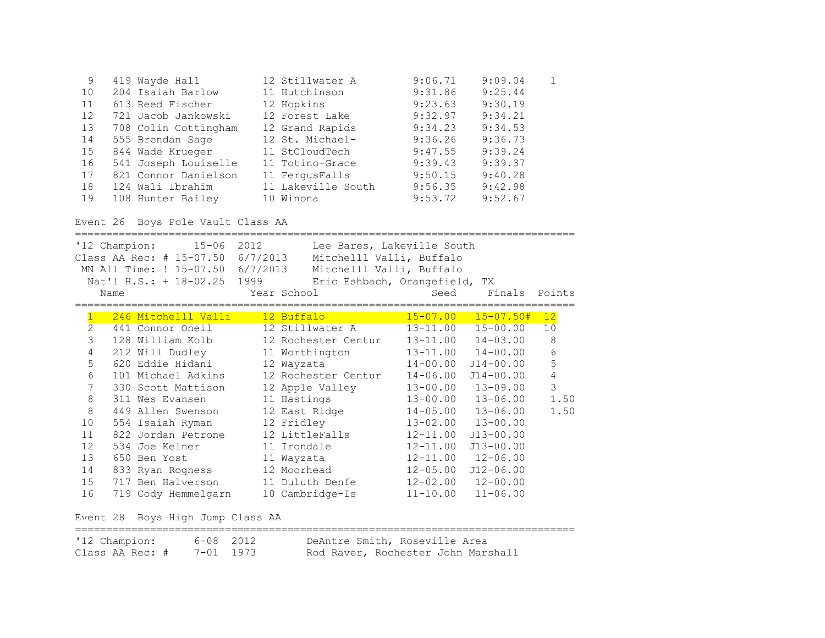| 9  | 419 Wayde Hall       | 12 Stillwater A    | 9:06.71 | 9:09.04 |  |
|----|----------------------|--------------------|---------|---------|--|
| 10 | 204 Isaiah Barlow    | 11 Hutchinson      | 9:31.86 | 9:25.44 |  |
| 11 | 613 Reed Fischer     | 12 Hopkins         | 9:23.63 | 9:30.19 |  |
| 12 | 721 Jacob Jankowski  | 12 Forest Lake     | 9:32.97 | 9:34.21 |  |
| 13 | 708 Colin Cottingham | 12 Grand Rapids    | 9:34.23 | 9:34.53 |  |
| 14 | 555 Brendan Sage     | 12 St. Michael-    | 9:36.26 | 9:36.73 |  |
| 15 | 844 Wade Krueger     | 11 StCloudTech     | 9:47.55 | 9:39.24 |  |
| 16 | 541 Joseph Louiselle | 11 Totino-Grace    | 9:39.43 | 9:39.37 |  |
| 17 | 821 Connor Danielson | 11 FergusFalls     | 9:50.15 | 9:40.28 |  |
| 18 | 124 Wali Ibrahim     | 11 Lakeville South | 9:56.35 | 9:42.98 |  |
| 19 | 108 Hunter Bailey    | 10 Winona          | 9:53.72 | 9:52.67 |  |

# Event 26 Boys Pole Vault Class AA

|                | '12 Champion:<br>Name | 15-06 2012<br>Class AA Rec: # 15-07.50<br>MN All Time: ! 15-07.50 6/7/2013<br>Nat'l H.S.: + 18-02.25 1999 | 6/7/2013 | Lee Bares, Lakeville South<br>Mitchelll Valli, Buffalo<br>Mitchelll Valli, Buffalo<br>Eric Eshbach, Orangefield, TX<br>Year School | Seed         | Finals Points              |            |
|----------------|-----------------------|-----------------------------------------------------------------------------------------------------------|----------|------------------------------------------------------------------------------------------------------------------------------------|--------------|----------------------------|------------|
|                |                       |                                                                                                           |          |                                                                                                                                    |              |                            |            |
|                |                       | 246 Mitchelll Valli                                                                                       |          | 12 Buffalo and the state of the state of the state of the state of the state of the state of the state of the                      | $15 - 07.00$ | $15 - 07.50 +$             | 12         |
| $\overline{2}$ |                       | 441 Connor Oneil                                                                                          |          | 12 Stillwater A                                                                                                                    | $13 - 11.00$ | $15 - 00.00$               | 10         |
| 3              |                       | 128 William Kolb                                                                                          |          | 12 Rochester Centur                                                                                                                | 13-11.00     | $14 - 03.00$               | $\,8\,$    |
| $\overline{4}$ |                       | 212 Will Dudley                                                                                           |          | 11 Worthington                                                                                                                     |              | $13 - 11.00$ $14 - 00.00$  | 6          |
| 5              |                       | 620 Eddie Hidani                                                                                          |          | 12 Wayzata                                                                                                                         |              | $14 - 00.00$ $J14 - 00.00$ | 5          |
| 6              |                       | 101 Michael Adkins                                                                                        |          | 12 Rochester Centur                                                                                                                | $14 - 06.00$ | $J14 - 00.00$              | $\sqrt{4}$ |
| $\overline{7}$ |                       | 330 Scott Mattison                                                                                        |          | 12 Apple Valley                                                                                                                    |              | $13 - 00.00$ $13 - 09.00$  | 3          |
| 8              |                       | 311 Wes Evansen                                                                                           |          | 11 Hastings                                                                                                                        |              | $13 - 00.00$ $13 - 06.00$  | 1.50       |
| $\,8\,$        |                       | 449 Allen Swenson                                                                                         |          | 12 East Ridge                                                                                                                      |              | $14 - 05.00$ $13 - 06.00$  | 1.50       |
| 10             |                       | 554 Isaiah Ryman                                                                                          |          | 12 Fridley                                                                                                                         |              | $13 - 02.00$ $13 - 00.00$  |            |
| 11             |                       | 822 Jordan Petrone                                                                                        |          | 12 LittleFalls                                                                                                                     | $12 - 11.00$ | $J13 - 00.00$              |            |
| 12             |                       | 534 Joe Kelner                                                                                            |          | 11 Irondale                                                                                                                        | $12 - 11.00$ | $J13 - 00.00$              |            |
| 13             |                       | 650 Ben Yost                                                                                              |          | 11 Wayzata                                                                                                                         |              | $12 - 11.00$ $12 - 06.00$  |            |
| 14             |                       | 833 Ryan Rogness                                                                                          |          | 12 Moorhead                                                                                                                        |              | $12 - 05.00$ $J12 - 06.00$ |            |
| 15             |                       | 717 Ben Halverson                                                                                         |          | 11 Duluth Denfe                                                                                                                    |              | $12 - 02.00$ $12 - 00.00$  |            |
| 16             |                       | 719 Cody Hemmelgarn                                                                                       |          | 10 Cambridge-Is                                                                                                                    | $11 - 10.00$ | $11 - 06.00$               |            |

Event 28 Boys High Jump Class AA

| '12 Champion:   | 6-08 2012 | DeAntre Smith, Roseville Area      |
|-----------------|-----------|------------------------------------|
| Class AA Rec: # | 7-01 1973 | Rod Raver, Rochester John Marshall |

================================================================================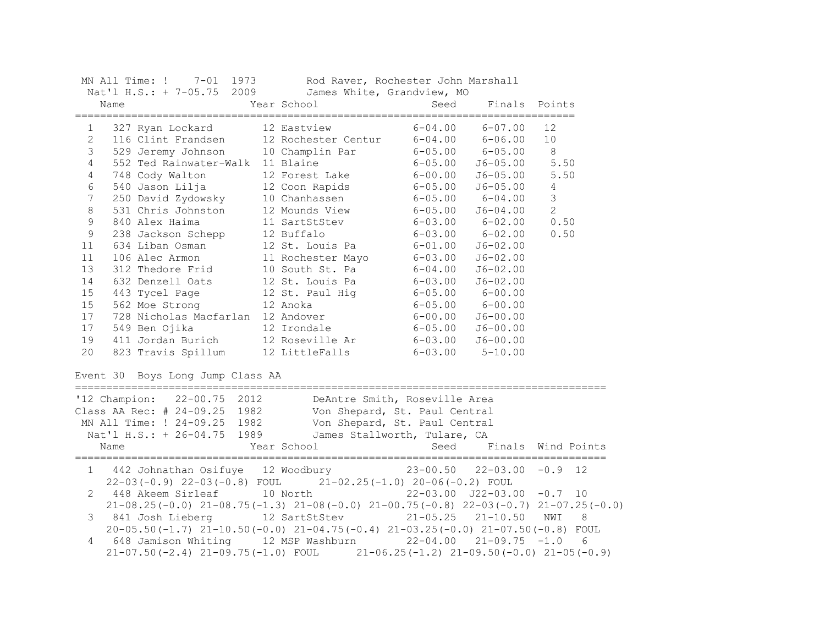|                | MN All Time: ! 7-01 1973                                                                        | Rod Raver, Rochester John Marshall                                                              |                                     |                         |                    |
|----------------|-------------------------------------------------------------------------------------------------|-------------------------------------------------------------------------------------------------|-------------------------------------|-------------------------|--------------------|
|                | Nat'l H.S.: + 7-05.75 2009<br>Name                                                              | James White, Grandview, MO<br>Year School                                                       | Seed                                | Finals                  | Points             |
| $\mathbf{1}$   | 327 Ryan Lockard                                                                                | 12 Eastview                                                                                     |                                     | $6 - 04.00$ $6 - 07.00$ | 12                 |
| $\overline{2}$ | 116 Clint Frandsen 12 Rochester Centur 6-04.00 6-06.00                                          |                                                                                                 |                                     |                         | 10                 |
| $\mathfrak{Z}$ | 529 Jeremy Johnson                                                                              | 10 Champlin Par                                                                                 | $6 - 05.00$ $6 - 05.00$             |                         | 8                  |
| $\overline{4}$ | 552 Ted Rainwater-Walk 11 Blaine                                                                |                                                                                                 | $6 - 05.00$                         | $J6 - 05.00$            | 5.50               |
| $\overline{4}$ | 748 Cody Walton                                                                                 | 12 Forest Lake                                                                                  | $6 - 00.00$                         | $J6 - 05.00$            | 5.50               |
| 6              | 540 Jason Lilja               12 Coon Rapids                                                    |                                                                                                 | $6 - 05.00$                         | $J6 - 05.00$            | $\overline{4}$     |
| $\overline{7}$ | 250 David Zydowsky 10 Chanhassen<br>531 Chris Johnston 12 Mounds View                           |                                                                                                 | $6 - 05.00$                         | $6 - 04.00$             | $\mathcal{S}$      |
| $\,8\,$        |                                                                                                 |                                                                                                 | $6 - 05.00$                         | $J6 - 04.00$            | 2                  |
| $\mathsf 9$    | 840 Alex Haima                                                                                  | 11 SartStStev                                                                                   | $6 - 03.00$ $6 - 02.00$             |                         | 0.50               |
| $\mathsf 9$    | 238 Jackson Schepp                                                                              | 12 Buffalo                                                                                      | $6 - 03.00$ $6 - 02.00$             |                         | 0.50               |
| 11             | 634 Liban Osman                                                                                 | 12 St. Louis Pa                                                                                 | $6 - 01.00$                         | $J6 - 02.00$            |                    |
| 11             | 106 Alec Armon                                                                                  | 11 Rochester Mayo                                                                               | $6 - 03.00$                         | $J6 - 02.00$            |                    |
| 13             | 312 Thedore Frid                                                                                | 10 South St. Pa                                                                                 | $6 - 04.00$                         | $J6 - 02.00$            |                    |
| 14             | 632 Denzell Oats                                                                                | 12 St. Louis Pa                                                                                 | $6 - 03.00$                         | $J6 - 02.00$            |                    |
| 15             | 443 Tycel Page                                                                                  | 12 St. Paul Hig                                                                                 | $6 - 05.00$ $6 - 00.00$             |                         |                    |
| 15             | 562 Moe Strong                                                                                  | 12 Anoka                                                                                        | $6 - 05.00$ $6 - 00.00$             |                         |                    |
| 17             | 728 Nicholas Macfarlan 12 Andover                                                               |                                                                                                 | $6 - 00.00$ $J6 - 00.00$            |                         |                    |
| 17             | 549 Ben Ojika                                                                                   | 12 Irondale                                                                                     | $6 - 05.00$                         | $J6 - 00.00$            |                    |
| 19             | 411 Jordan Burich<br>411 Jordan Burich 12 Roseville Ar<br>823 Travis Spillum 12 LittleFalls     |                                                                                                 | $6 - 03.00$                         | $J6 - 00.00$            |                    |
| 20             |                                                                                                 |                                                                                                 | $6 - 03.00$ $5 - 10.00$             |                         |                    |
|                | Event 30 Boys Long Jump Class AA                                                                |                                                                                                 |                                     |                         |                    |
|                | '12 Champion: 22-00.75 2012                                                                     |                                                                                                 |                                     |                         |                    |
|                | Class AA Rec: # 24-09.25 1982                                                                   | DeAntre Smith, Roseville Area<br>Von Shepard, St. Paul Central<br>Von Shepard, St. Paul Central |                                     |                         |                    |
|                | MN All Time: ! 24-09.25 1982                                                                    | Von Shepard, St. Paul Central                                                                   |                                     |                         |                    |
|                | Nat'l H.S.: + 26-04.75                                                                          | 1989<br>James Stallworth, Tulare, CA                                                            |                                     |                         |                    |
|                | Name                                                                                            | Year School                                                                                     | Seed                                |                         | Finals Wind Points |
|                | 1 442 Johnathan Osifuye 12 Woodbury                                                             |                                                                                                 | $23 - 00.50$ $22 - 03.00$ $-0.9$ 12 |                         |                    |
|                | $22-03(-0.9)$ $22-03(-0.8)$ FOUL $21-02.25(-1.0)$ $20-06(-0.2)$ FOUL                            |                                                                                                 |                                     |                         |                    |
| 2              | 448 Akeem Sirleaf 10 North                                                                      |                                                                                                 | $22-03.00$ $J22-03.00$ $-0.7$ 10    |                         |                    |
|                | $21-08.25(-0.0)$ $21-08.75(-1.3)$ $21-08(-0.0)$ $21-00.75(-0.8)$ $22-03(-0.7)$ $21-07.25(-0.0)$ |                                                                                                 |                                     |                         |                    |
| 3              | 841 Josh Lieberg 12 SartStStev 21-05.25 21-10.50                                                |                                                                                                 |                                     |                         | NWI<br>8           |
|                | $20-05.50(-1.7)$ $21-10.50(-0.0)$ $21-04.75(-0.4)$ $21-03.25(-0.0)$ $21-07.50(-0.8)$ FOUL       |                                                                                                 |                                     |                         |                    |
| 4              | 648 Jamison Whiting 12 MSP Washburn 22-04.00                                                    |                                                                                                 |                                     | $21 - 09.75 - 1.0$      | 6                  |
|                | $21-07.50(-2.4)$ $21-09.75(-1.0)$ FOUL $21-06.25(-1.2)$ $21-09.50(-0.0)$ $21-05(-0.9)$          |                                                                                                 |                                     |                         |                    |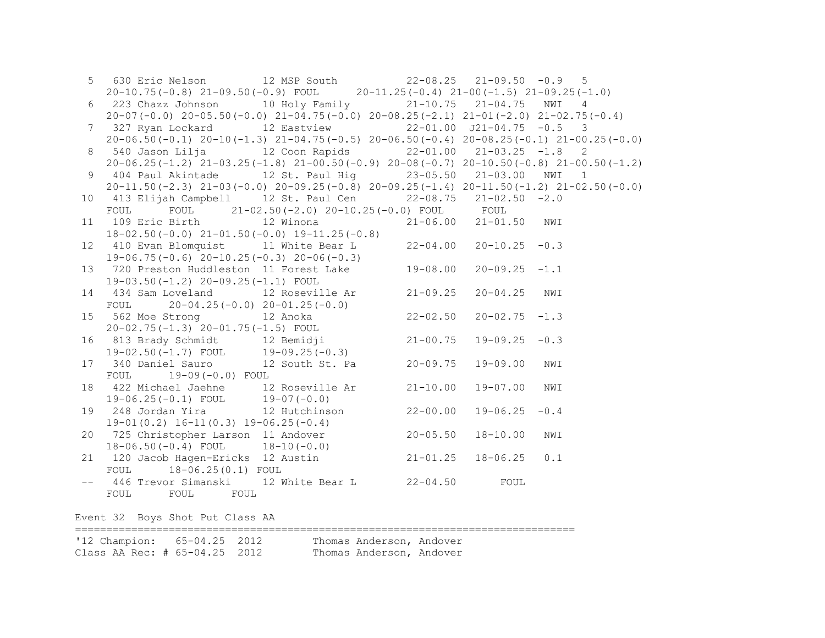|                 | 5 630 Eric Nelson 12 MSP South 22-08.25 21-09.50 -0.9 5                                                                                                     |              |                    |     |
|-----------------|-------------------------------------------------------------------------------------------------------------------------------------------------------------|--------------|--------------------|-----|
|                 | $20-10.75(-0.8)$ $21-09.50(-0.9)$ FOUL $20-11.25(-0.4)$ $21-00(-1.5)$ $21-09.25(-1.0)$                                                                      |              |                    |     |
| 6               | 223 Chazz Johnson 10 Holy Family 21-10.75 21-04.75 NWI 4                                                                                                    |              |                    |     |
|                 | $20-07(-0.0)$ $20-05.50(-0.0)$ $21-04.75(-0.0)$ $20-08.25(-2.1)$ $21-01(-2.0)$ $21-02.75(-0.4)$                                                             |              |                    |     |
|                 | 7 327 Ryan Lockard 12 Eastview 22-01.00 J21-04.75 -0.5 3                                                                                                    |              |                    |     |
|                 | $20-06.50(-0.1)$ $20-10(-1.3)$ $21-04.75(-0.5)$ $20-06.50(-0.4)$ $20-08.25(-0.1)$ $21-00.25(-0.0)$                                                          |              |                    |     |
| 8               | 540 Jason Lilja             12 Coon Rapids             22-01.00     21-03.25   -1.8     2                                                                   |              |                    |     |
|                 | $20-06.25(-1.2)$ $21-03.25(-1.8)$ $21-00.50(-0.9)$ $20-08(-0.7)$ $20-10.50(-0.8)$ $21-00.50(-1.2)$                                                          |              |                    |     |
| 9               | 404 Paul Akintade 12 St. Paul Hig 33-05.50 21-03.00 NWI 1                                                                                                   |              |                    |     |
|                 | $20-11.50(-2.3)$ $21-03(-0.0)$ $20-09.25(-0.8)$ $20-09.25(-1.4)$ $20-11.50(-1.2)$ $21-02.50(-0.0)$                                                          |              |                    |     |
|                 | 10 413 Elijah Campbell 12 St. Paul Cen 22-08.75 21-02.50 -2.0                                                                                               |              |                    |     |
|                 |                                                                                                                                                             |              |                    |     |
|                 | FOUL FOUL 21-02.50(-2.0) 20-10.25(-0.0) FOUL FOUL<br>11 109 Eric Birth 12 Winona 21-06.00 21-01.50 NWI                                                      |              |                    |     |
|                 | $18-02.50(-0.0)$ $21-01.50(-0.0)$ $19-11.25(-0.8)$                                                                                                          |              |                    |     |
| 12 <sup>°</sup> | 410 Evan Blomquist 11 White Bear L 22-04.00 20-10.25 -0.3                                                                                                   |              |                    |     |
|                 | $19-06.75(-0.6)$ $20-10.25(-0.3)$ $20-06(-0.3)$                                                                                                             |              |                    |     |
| 13              | 19-06.75(-0.6) 20-10.25(-0.3) 20-06(-0.3)<br>720 Preston Huddleston 11 Forest Lake 19-08.00 20-09.25 -1.1                                                   |              |                    |     |
|                 | 19-03.50(-1.2) 20-09.25(-1.1) FOUL                                                                                                                          |              |                    |     |
| 14              | 434 Sam Loveland 12 Roseville Ar 21-09.25                                                                                                                   |              | 20-04.25 NWI       |     |
|                 |                                                                                                                                                             |              |                    |     |
| 15              | 434 Sam Loveland<br>$20-04.25(-0.0)$ $20-01.25(-0.0)$<br>$12$ Anoka<br>22-02.50<br>562 Moe Strong 12 Anoka<br>20-02.75(-1.3) 20-01.75(-1.5) FOUL            |              | $20 - 02.75 - 1.3$ |     |
|                 |                                                                                                                                                             |              |                    |     |
|                 | 16 813 Brady Schmidt 12 Bemidji 21-00.75                                                                                                                    |              | $19 - 09.25 - 0.3$ |     |
|                 | $19-02.50(-1.7)$ FOUL $19-09.25(-0.3)$                                                                                                                      |              |                    |     |
| 17              | 340 Daniel Sauro 12 South St. Pa 20-09.75                                                                                                                   |              | 19-09.00           | NWI |
|                 | FOUL 19-09(-0.0) FOUL                                                                                                                                       |              |                    |     |
| 18              | 422 Michael Jaehne 12 Roseville Ar 21-10.00                                                                                                                 |              | 19-07.00           | NWI |
|                 | $19-06.25(-0.1)$ FOUL $19-07(-0.0)$                                                                                                                         |              |                    |     |
| 19              | 248 Jordan Yira             12 Hutchinson                                                                                                                   | $22 - 00.00$ | $19 - 06.25 - 0.4$ |     |
|                 | $19-01(0.2)$ $16-11(0.3)$ $19-06.25(-0.4)$                                                                                                                  |              |                    |     |
|                 | 20 725 Christopher Larson 11 Andover 20-05.50<br>18-06.50(-0.4) FOUL 18-10(-0.0)<br>21 120 Jacob Hagen-Ericks 12 Austin 21-01.25<br>FOUL 18-06.25(0.1) FOUL |              | 18-10.00           | NWI |
|                 |                                                                                                                                                             |              |                    |     |
|                 |                                                                                                                                                             |              | 18-06.25           | 0.1 |
|                 |                                                                                                                                                             |              |                    |     |
|                 | -- 446 Trevor Simanski 12 White Bear L 22-04.50 FOUL                                                                                                        |              |                    |     |
|                 | FOUL FOUL FOUL                                                                                                                                              |              |                    |     |
|                 |                                                                                                                                                             |              |                    |     |
|                 | Event 32 Boys Shot Put Class AA                                                                                                                             |              |                    |     |
|                 |                                                                                                                                                             |              |                    |     |

'12 Champion: 65-04.25 2012 Thomas Anderson, Andover Class AA Rec: # 65-04.25 2012 Thomas Anderson, Andover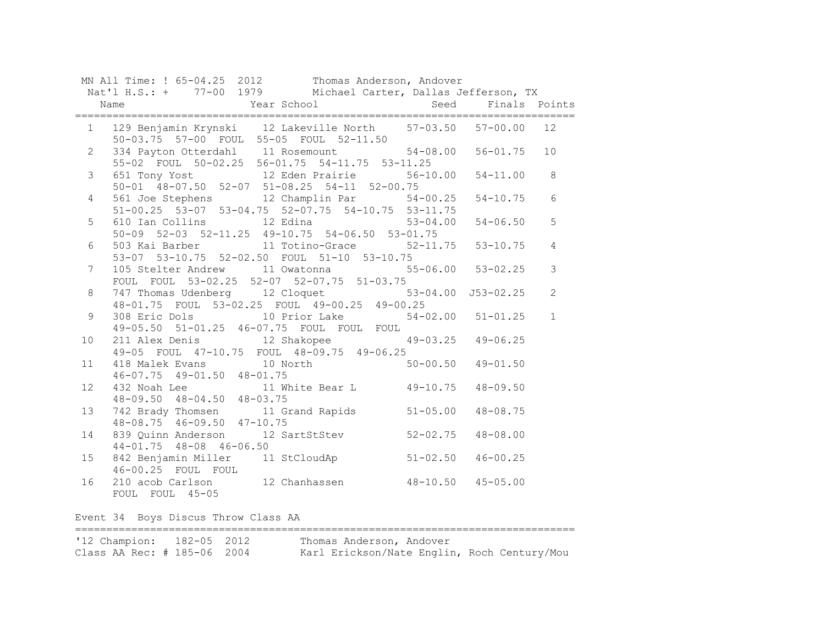|                 | MN All Time: ! 65-04.25 2012 Thomas Anderson, Andover<br>Nat'l H.S.: + 77-00 1979 Michael Carter, Dallas Jefferson, TX |              |                 |
|-----------------|------------------------------------------------------------------------------------------------------------------------|--------------|-----------------|
|                 |                                                                                                                        |              |                 |
|                 |                                                                                                                        |              |                 |
|                 | 1 129 Benjamin Krynski 12 Lakeville North 57-03.50 57-00.00 12<br>50-03.75 57-00 FOUL 55-05 FOUL 52-11.50              |              |                 |
| $2^{\circ}$     | 334 Payton Otterdahl 11 Rosemount 54-08.00 56-01.75<br>55-02 FOUL 50-02.25 56-01.75 54-11.75 53-11.25                  |              | 10              |
| 3 <sup>7</sup>  | 651 Tony Yost 12 Eden Prairie 56-10.00 54-11.00<br>50-01 48-07.50 52-07 51-08.25 54-11 52-00.75                        |              | 8               |
| $4\overline{ }$ | 561 Joe Stephens 12 Champlin Par 54-00.25 54-10.75<br>$51-00.25$ $53-07$ $53-04.75$ $52-07.75$ $54-10.75$ $53-11.75$   |              | $6\phantom{.}6$ |
| 5               | 610 Ian Collins 12 Edina 53-04.00 54-06.50<br>50-09 52-03 52-11.25 49-10.75 54-06.50 53-01.75                          |              | 5               |
| 6               | $503$ Kai Barber 11 Totino-Grace 52-11.75 53-10.75<br>53-07 53-10.75 52-02.50 FOUL 51-10 53-10.75                      |              | $\overline{4}$  |
| 7 <sup>7</sup>  | 105 Stelter Andrew 11 Owatonna 55-06.00 53-02.25<br>FOUL FOUL 53-02.25 52-07 52-07.75 51-03.75                         |              | $\mathfrak{Z}$  |
| 8               | 747 Thomas Udenberg 12 Cloquet 53-04.00 J53-02.25<br>48-01.75 FOUL 53-02.25 FOUL 49-00.25 49-00.25                     |              | $\overline{2}$  |
| 9               | 308 Eric Dols 10 Prior Lake 54-02.00 51-01.25<br>49-05.50 51-01.25 46-07.75 FOUL FOUL FOUL                             |              | $\mathbf{1}$    |
| 10 <sub>o</sub> | 211 Alex Denis 12 Shakopee 49-03.25 49-06.25<br>49-05 FOUL 47-10.75 FOUL 48-09.75 49-06.25                             |              |                 |
| 11              | 418 Malek Evans 10 North 50-00.50 49-01.50<br>46-07.75 49-01.50 48-01.75<br>$46-07.75$ $49-01.50$ $48-01.75$           |              |                 |
| 12              | 432 Noah Lee 11 White Bear L 49-10.75<br>48-09.50 48-04.50 48-03.75                                                    | $48 - 09.50$ |                 |
| 13              | 742 Brady Thomsen<br>11 Grand Rapids<br>48-08.75<br>48-08.75<br>46-09.50<br>47-10.75                                   |              |                 |
| 14              | 839 Quinn Anderson 12 SartStStev 52-02.75 48-08.00<br>$44 - 01.75$ $48 - 08$ $46 - 06.50$                              |              |                 |
| 15              | 842 Benjamin Miller 11 StCloudAp 51-02.50 46-00.25                                                                     |              |                 |
| 16              | 46-00.25 FOUL FOUL<br>210 acob Carlson 12 Chanhassen 48-10.50 45-05.00<br>FOUL FOUL 45-05                              |              |                 |

Event 34 Boys Discus Throw Class AA

================================================================================ '12 Champion: 182-05 2012<br>Class AA Rec: # 185-06 2004 Karl Erickson/Nate Englin, Roch Century/Mou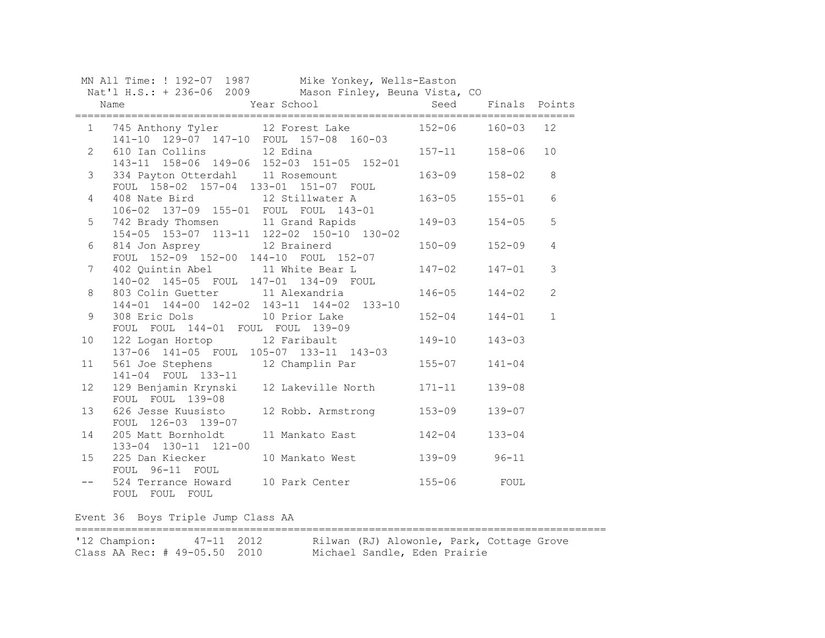|                 | MN All Time: ! 192-07 1987 Mike Yonkey, Wells-Easton                              |              |               |                |
|-----------------|-----------------------------------------------------------------------------------|--------------|---------------|----------------|
|                 | Nat'l H.S.: + 236-06 2009 Mason Finley, Beuna Vista, CO                           |              |               |                |
|                 | Year School<br>Name                                                               | Seed         | Finals Points |                |
| $1 \quad$       | 745 Anthony Tyler 12 Forest Lake 152-06                                           |              | $160 - 03$    | 12             |
| $2^{\circ}$     | 141-10 129-07 147-10 FOUL 157-08 160-03<br>610 Ian Collins 12 Edina 157-11 158-06 |              |               | 10             |
|                 | 143-11 158-06 149-06 152-03 151-05 152-01                                         |              |               |                |
| $\mathcal{S}$   | 334 Payton Otterdahl 11 Rosemount<br>FOUL 158-02 157-04 133-01 151-07 FOUL        | $163 - 09$   | $158 - 02$    | 8              |
| 4               | 408 Nate Bird<br>106-02 137-09 155-01 FOUL FOUL 143-01                            | $163 - 05$   | $155 - 01$    | $6\phantom{1}$ |
| 5               | 742 Brady Thomsen 11 Grand Rapids                                                 | 149-03       | $154 - 05$    | 5              |
| 6               | 154-05 153-07 113-11 122-02 150-10 130-02<br>814 Jon Asprey 12 Brainerd           | $150 - 09$   | $152 - 09$    | $\overline{4}$ |
| $7\phantom{.0}$ | FOUL 152-09 152-00 144-10 FOUL 152-07<br>402 Quintin Abel 11 White Bear L         | $147 - 02$   | $147 - 01$    | 3              |
| 8               | 140-02 145-05 FOUL 147-01 134-09 FOUL<br>803 Colin Guetter 11 Alexandria          | $146 - 05$   | $144 - 02$    | $\mathbf{2}$   |
| 9               | 144-01 144-00 142-02 143-11 144-02 133-10<br>308 Eric Dols<br>10 Prior Lake       | $152 - 04$   | $144 - 01$    | $\mathbf 1$    |
| 10              | FOUL FOUL 144-01 FOUL FOUL 139-09<br>122 Logan Hortop 12 Faribault                | $149 - 10$   | $143 - 03$    |                |
|                 | 137-06 141-05 FOUL 105-07 133-11 143-03                                           |              |               |                |
| 11              | 561 Joe Stephens 12 Champlin Par 155-07<br>141-04 FOUL 133-11                     |              | $141 - 04$    |                |
| 12              | 129 Benjamin Krynski 12 Lakeville North 171-11<br>FOUL FOUL 139-08                |              | $139 - 08$    |                |
| 13              | 626 Jesse Kuusisto<br>12 Robb. Armstrong<br>FOUL 126-03 139-07                    | $153 - 09$   | $139 - 07$    |                |
| 14              | 11 Mankato East<br>205 Matt Bornholdt<br>133-04 130-11 121-00                     | $142 - 04$   | $133 - 04$    |                |
| 15              | 225 Dan Kiecker<br>10 Mankato West<br>FOUL 96-11 FOUL                             | 139-09 96-11 |               |                |
|                 | 524 Terrance Howard 10 Park Center<br>FOUL FOUL FOUL                              | $155 - 06$   | FOUL          |                |

Event 36 Boys Triple Jump Class AA

===================================================================================== 47-11 2012 Rilwan (RJ) Alowonle, Park, Cottage Grove

Class AA Rec: # 49-05.50 2010 Michael Sandle, Eden Prairie